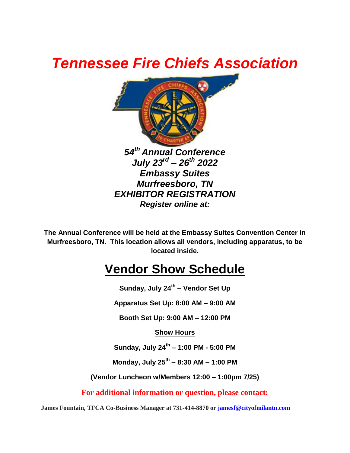## *Tennessee Fire Chiefs Association*



**The Annual Conference will be held at the Embassy Suites Convention Center in Murfreesboro, TN. This location allows all vendors, including apparatus, to be located inside.**

### **Vendor Show Schedule**

**Sunday, July 24 th – Vendor Set Up**

**Apparatus Set Up: 8:00 AM – 9:00 AM**

**Booth Set Up: 9:00 AM – 12:00 PM**

**Show Hours**

**Sunday, July 24 th – 1:00 PM - 5:00 PM**

**Monday, July 25th – 8:30 AM – 1:00 PM** 

**(Vendor Luncheon w/Members 12:00 – 1:00pm 7/25)**

**For additional information or question, please contact:**

**James Fountain, TFCA Co-Business Manager at 731-414-8870 or [jamesf@cityofmilantn.com](mailto:jamesf@cityofmilantn.com)**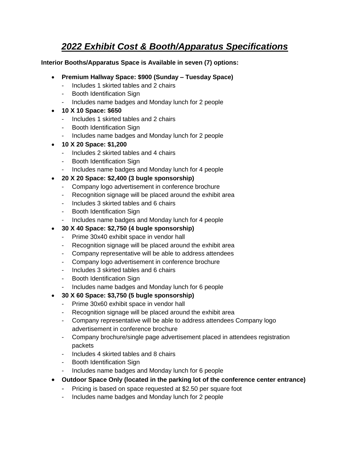### *2022 Exhibit Cost & Booth/Apparatus Specifications*

#### **Interior Booths/Apparatus Space is Available in seven (7) options:**

- **Premium Hallway Space: \$900 (Sunday – Tuesday Space)**
	- Includes 1 skirted tables and 2 chairs
	- Booth Identification Sign
	- Includes name badges and Monday lunch for 2 people
- **10 X 10 Space: \$650**
	- Includes 1 skirted tables and 2 chairs
	- Booth Identification Sign
	- Includes name badges and Monday lunch for 2 people
- **10 X 20 Space: \$1,200**
	- Includes 2 skirted tables and 4 chairs
	- Booth Identification Sign
	- Includes name badges and Monday lunch for 4 people
- **20 X 20 Space: \$2,400 (3 bugle sponsorship)**
	- Company logo advertisement in conference brochure
	- Recognition signage will be placed around the exhibit area
	- Includes 3 skirted tables and 6 chairs
	- Booth Identification Sign
	- Includes name badges and Monday lunch for 4 people
- **30 X 40 Space: \$2,750 (4 bugle sponsorship)**
	- Prime 30x40 exhibit space in vendor hall
	- Recognition signage will be placed around the exhibit area
	- Company representative will be able to address attendees
	- Company logo advertisement in conference brochure
	- Includes 3 skirted tables and 6 chairs
	- Booth Identification Sign
	- Includes name badges and Monday lunch for 6 people
- **30 X 60 Space: \$3,750 (5 bugle sponsorship)**
	- Prime 30x60 exhibit space in vendor hall
	- Recognition signage will be placed around the exhibit area
	- Company representative will be able to address attendees Company logo advertisement in conference brochure
	- Company brochure/single page advertisement placed in attendees registration packets
	- Includes 4 skirted tables and 8 chairs
	- Booth Identification Sign
	- Includes name badges and Monday lunch for 6 people
- **Outdoor Space Only (located in the parking lot of the conference center entrance)**
	- Pricing is based on space requested at \$2.50 per square foot
	- Includes name badges and Monday lunch for 2 people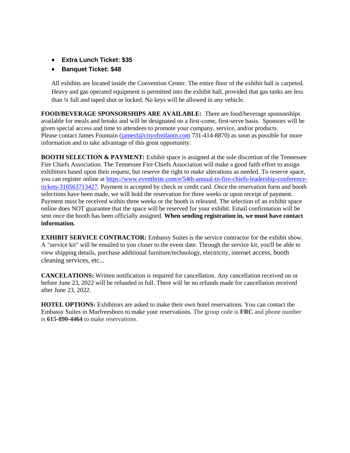- **Extra Lunch Ticket: \$35**
- **Banquet Ticket: \$48**

All exhibits are located inside the Convention Center. The entire floor of the exhibit hall is carpeted. Heavy and gas operated equipment is permitted into the exhibit hall, provided that gas tanks are less than ¼ full and taped shut or locked. No keys will be allowed in any vehicle.

**FOOD/BEVERAGE SPONSORSHIPS ARE AVAILABLE:** There are food/beverage sponsorships available for meals and breaks and will be designated on a first-come, first-serve basis. Sponsors will be given special access and time to attendees to promote your company, service, and/or products. Please contact James Fountain [\(jamesf@cityofmilantn.com](mailto:jamesf@cityofmilantn.com) 731-414-8870) as soon as possible for more information and to take advantage of this great opportunity.

**BOOTH SELECTION & PAYMENT:** Exhibit space is assigned at the sole discretion of the Tennessee Fire Chiefs Association. The Tennessee Fire Chiefs Association will make a good faith effort to assign exhibitors based upon their request, but reserve the right to make alterations as needed. To reserve space, you can register online at [https://www.eventbrite.com/e/54th-annual-tn-fire-chiefs-leadership-conference](https://www.eventbrite.com/e/54th-annual-tn-fire-chiefs-leadership-conference-tickets-310563713427)[tickets-310563713427](https://www.eventbrite.com/e/54th-annual-tn-fire-chiefs-leadership-conference-tickets-310563713427). Payment is accepted by check or credit card. Once the reservation form and booth selections have been made, we will hold the reservation for three weeks or upon receipt of payment. Payment must be received within three weeks or the booth is released. The selection of an exhibit space online does NOT guarantee that the space will be reserved for your exhibit. Email confirmation will be sent once the booth has been officially assigned. **When sending registration in, we must have contact information.** 

**EXHIBIT SERVICE CONTRACTOR:** Embassy Suites is the service contractor for the exhibit show. A "service kit" will be emailed to you closer to the event date. Through the service kit, you'll be able to view shipping details, purchase additional furniture/technology, electricity, internet access, booth cleaning services, etc...

**CANCELATIONS:** Written notification is required for cancellation. Any cancellation received on or before June 23, 2022 will be refunded in full. There will be no refunds made for cancellation received after June 23, 2022.

**HOTEL OPTIONS:** Exhibitors are asked to make their own hotel reservations. You can contact the Embassy Suites in Murfreesboro to make your reservations. The group code is **FRC** and phone number is **615-890-4464** to make reservations.